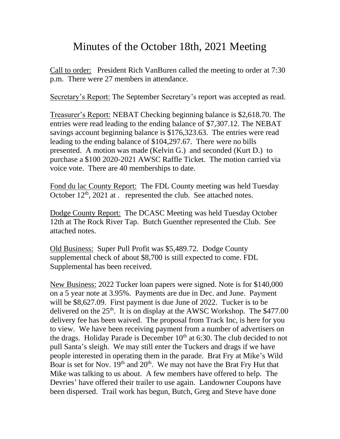## Minutes of the October 18th, 2021 Meeting

Call to order: President Rich VanBuren called the meeting to order at 7:30 p.m. There were 27 members in attendance.

Secretary's Report: The September Secretary's report was accepted as read.

Treasurer's Report: NEBAT Checking beginning balance is \$2,618.70. The entries were read leading to the ending balance of \$7,307.12. The NEBAT savings account beginning balance is \$176,323.63. The entries were read leading to the ending balance of \$104,297.67. There were no bills presented. A motion was made (Kelvin G.) and seconded (Kurt D.) to purchase a \$100 2020-2021 AWSC Raffle Ticket. The motion carried via voice vote. There are 40 memberships to date.

Fond du lac County Report: The FDL County meeting was held Tuesday October  $12<sup>th</sup>$ , 2021 at . represented the club. See attached notes.

Dodge County Report: The DCASC Meeting was held Tuesday October 12th at The Rock River Tap. Butch Guenther represented the Club. See attached notes.

Old Business: Super Pull Profit was \$5,489.72. Dodge County supplemental check of about \$8,700 is still expected to come. FDL Supplemental has been received.

New Business: 2022 Tucker loan papers were signed. Note is for \$140,000 on a 5 year note at 3.95%. Payments are due in Dec. and June. Payment will be \$8,627.09. First payment is due June of 2022. Tucker is to be delivered on the  $25<sup>th</sup>$ . It is on display at the AWSC Workshop. The \$477.00 delivery fee has been waived. The proposal from Track Inc, is here for you to view. We have been receiving payment from a number of advertisers on the drags. Holiday Parade is December  $10<sup>th</sup>$  at 6:30. The club decided to not pull Santa's sleigh. We may still enter the Tuckers and drags if we have people interested in operating them in the parade. Brat Fry at Mike's Wild Boar is set for Nov.  $19<sup>th</sup>$  and  $20<sup>th</sup>$ . We may not have the Brat Fry Hut that Mike was talking to us about. A few members have offered to help. The Devries' have offered their trailer to use again. Landowner Coupons have been dispersed. Trail work has begun, Butch, Greg and Steve have done